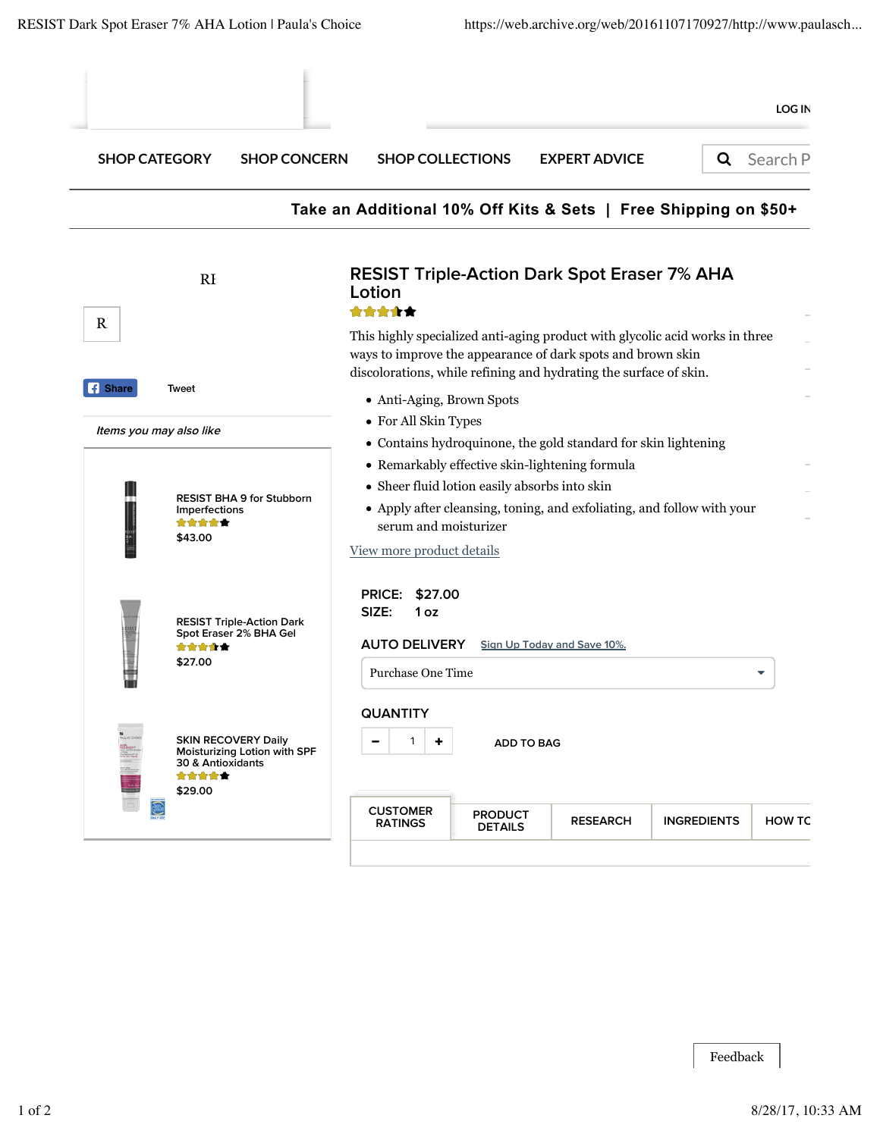| <b>SHOP CATEGORY</b><br><b>SHOP CONCERN</b>                                                         | <b>SHOP COLLECTIONS</b>                                                                                                                                                                                                         | <b>EXPERT ADVICE</b>              | Q                  | Search P      |  |  |  |
|-----------------------------------------------------------------------------------------------------|---------------------------------------------------------------------------------------------------------------------------------------------------------------------------------------------------------------------------------|-----------------------------------|--------------------|---------------|--|--|--|
|                                                                                                     | Take an Additional 10% Off Kits & Sets   Free Shipping on \$50+                                                                                                                                                                 |                                   |                    |               |  |  |  |
| RI                                                                                                  | <b>RESIST Triple-Action Dark Spot Eraser 7% AHA</b><br>Lotion<br>*****                                                                                                                                                          |                                   |                    |               |  |  |  |
|                                                                                                     | This highly specialized anti-aging product with glycolic acid works in three<br>ways to improve the appearance of dark spots and brown skin<br>discolorations, while refining and hydrating the surface of skin.                |                                   |                    |               |  |  |  |
| Tweet<br>Items you may also like                                                                    | • Anti-Aging, Brown Spots<br>• For All Skin Types<br>• Contains hydroquinone, the gold standard for skin lightening                                                                                                             |                                   |                    |               |  |  |  |
| <b>RESIST BHA 9 for Stubborn</b><br>Imperfections<br>*****<br>\$43.00                               | • Remarkably effective skin-lightening formula<br>• Sheer fluid lotion easily absorbs into skin<br>• Apply after cleansing, toning, and exfoliating, and follow with your<br>serum and moisturizer<br>View more product details |                                   |                    |               |  |  |  |
| <b>RESIST Triple-Action Dark</b><br>Spot Eraser 2% BHA Gel<br>*****<br>\$27.00                      | \$27.00<br><b>PRICE:</b><br>SIZE:<br>1 <sub>oz</sub><br><b>AUTO DELIVERY</b><br>Sign Up Today and Save 10%.<br><b>Purchase One Time</b><br>▼                                                                                    |                                   |                    |               |  |  |  |
| <b>SKIN RECOVERY Daily</b><br>Moisturizing Lotion with SPF<br>30 & Antioxidants<br>*****<br>\$29.00 | <b>QUANTITY</b><br>1<br>٠<br><b>ADD TO BAG</b>                                                                                                                                                                                  |                                   |                    |               |  |  |  |
|                                                                                                     | <b>CUSTOMER</b><br><b>PRODUCT</b><br><b>RATINGS</b>                                                                                                                                                                             | <b>RESEARCH</b><br><b>DETAILS</b> | <b>INGREDIENTS</b> | <b>HOW TC</b> |  |  |  |

Feedback